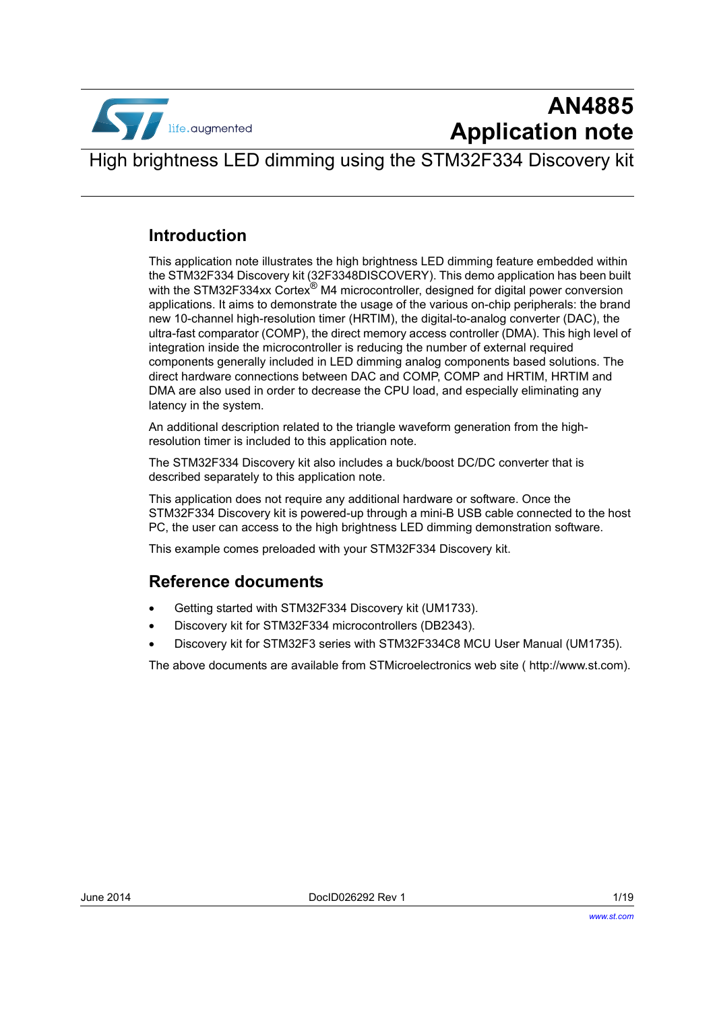

# **AN4885 Application note**

High brightness LED dimming using the STM32F334 Discovery kit

### **Introduction**

This application note illustrates the high brightness LED dimming feature embedded within the STM32F334 Discovery kit (32F3348DISCOVERY). This demo application has been built with the STM32F334xx Cortex<sup>®</sup> M4 microcontroller, designed for digital power conversion applications. It aims to demonstrate the usage of the various on-chip peripherals: the brand new 10-channel high-resolution timer (HRTIM), the digital-to-analog converter (DAC), the ultra-fast comparator (COMP), the direct memory access controller (DMA). This high level of integration inside the microcontroller is reducing the number of external required components generally included in LED dimming analog components based solutions. The direct hardware connections between DAC and COMP, COMP and HRTIM, HRTIM and DMA are also used in order to decrease the CPU load, and especially eliminating any latency in the system.

An additional description related to the triangle waveform generation from the highresolution timer is included to this application note.

The STM32F334 Discovery kit also includes a buck/boost DC/DC converter that is described separately to this application note.

This application does not require any additional hardware or software. Once the STM32F334 Discovery kit is powered-up through a mini-B USB cable connected to the host PC, the user can access to the high brightness LED dimming demonstration software.

This example comes preloaded with your STM32F334 Discovery kit.

### **Reference documents**

- Getting started with STM32F334 Discovery kit (UM1733).
- Discovery kit for STM32F334 microcontrollers (DB2343).
- Discovery kit for STM32F3 series with STM32F334C8 MCU User Manual (UM1735).

The above documents are available from STMicroelectronics web site ( <http://www.st.com>).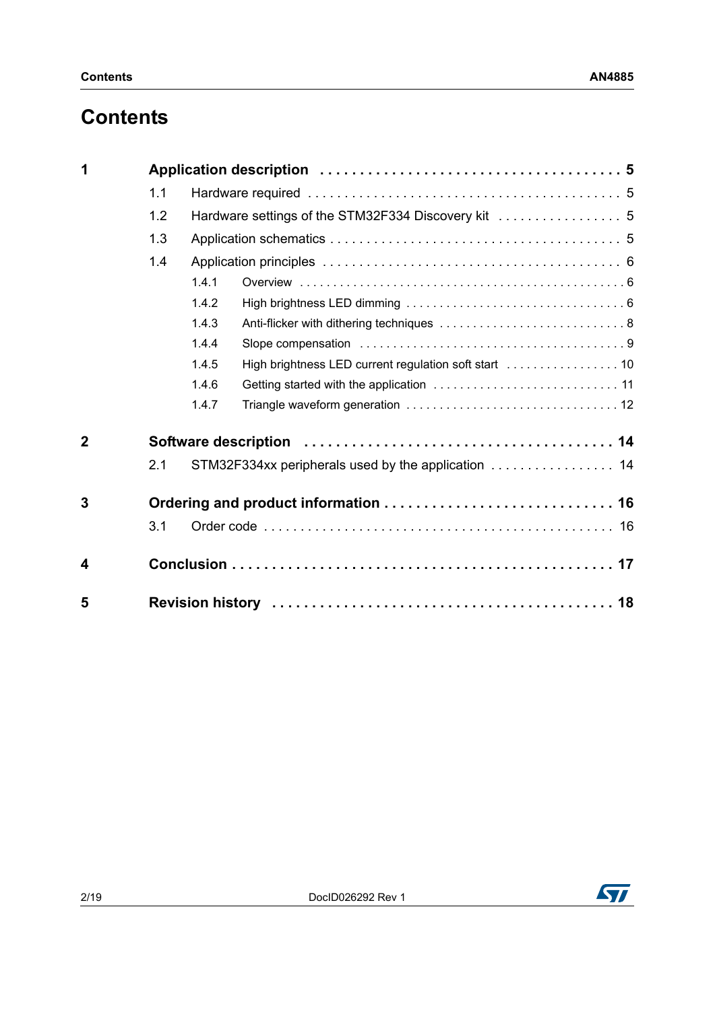## **Contents**

| 1              |     |                                                                |  |  |  |
|----------------|-----|----------------------------------------------------------------|--|--|--|
|                | 1.1 |                                                                |  |  |  |
|                | 1.2 |                                                                |  |  |  |
|                | 1.3 |                                                                |  |  |  |
|                | 1.4 |                                                                |  |  |  |
|                |     | 1.4.1                                                          |  |  |  |
|                |     | 1.4.2                                                          |  |  |  |
|                |     | 1.4.3                                                          |  |  |  |
|                |     | 1.4.4                                                          |  |  |  |
|                |     | High brightness LED current regulation soft start  10<br>1.4.5 |  |  |  |
|                |     | 1.4.6                                                          |  |  |  |
|                |     | 1.4.7                                                          |  |  |  |
| $\overline{2}$ |     |                                                                |  |  |  |
|                | 2.1 | STM32F334xx peripherals used by the application  14            |  |  |  |
| 3              |     |                                                                |  |  |  |
|                | 3.1 |                                                                |  |  |  |
| 4              |     |                                                                |  |  |  |
| 5              |     |                                                                |  |  |  |

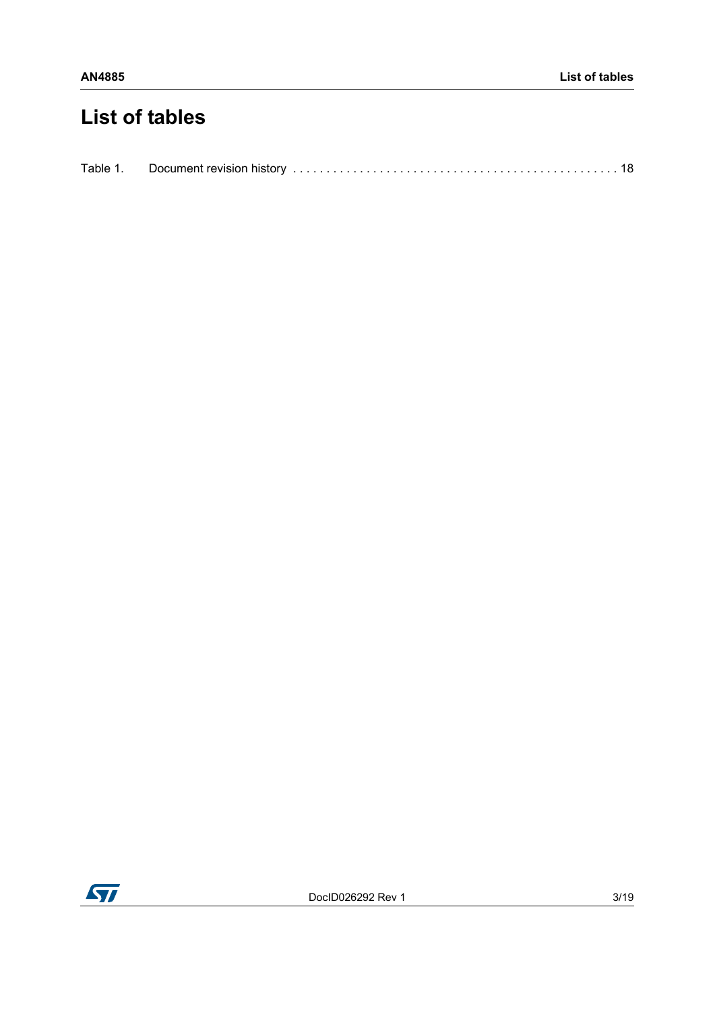## **List of tables**

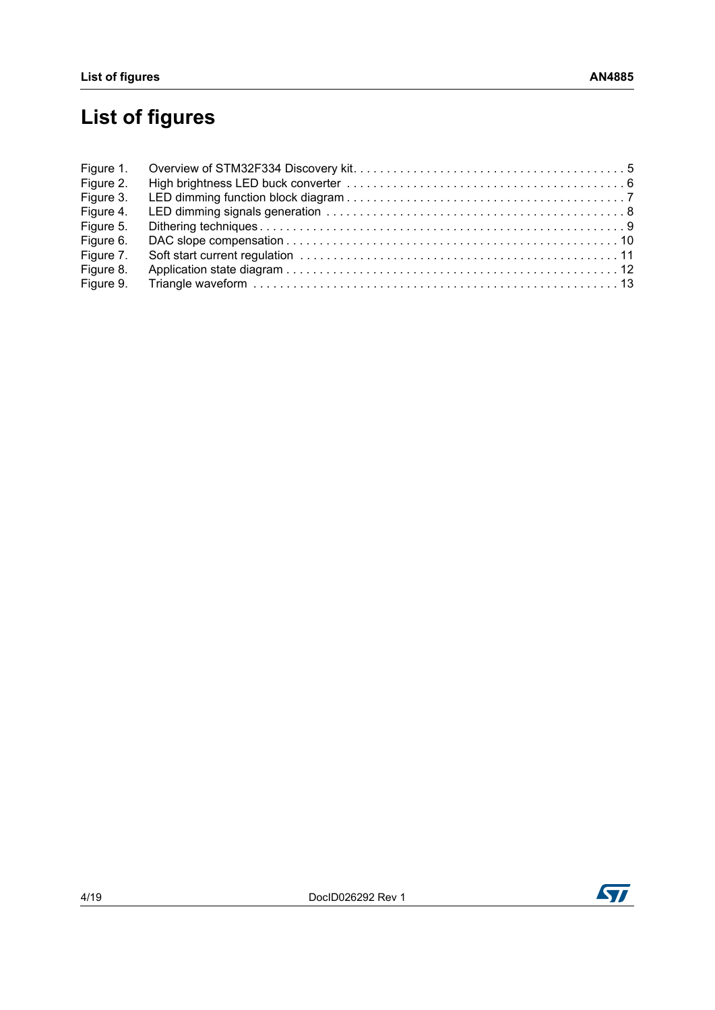# **List of figures**

| Figure 1. |  |
|-----------|--|
| Figure 2. |  |
| Figure 3. |  |
| Figure 4. |  |
| Figure 5. |  |
| Figure 6. |  |
| Figure 7. |  |
| Figure 8. |  |
| Figure 9. |  |

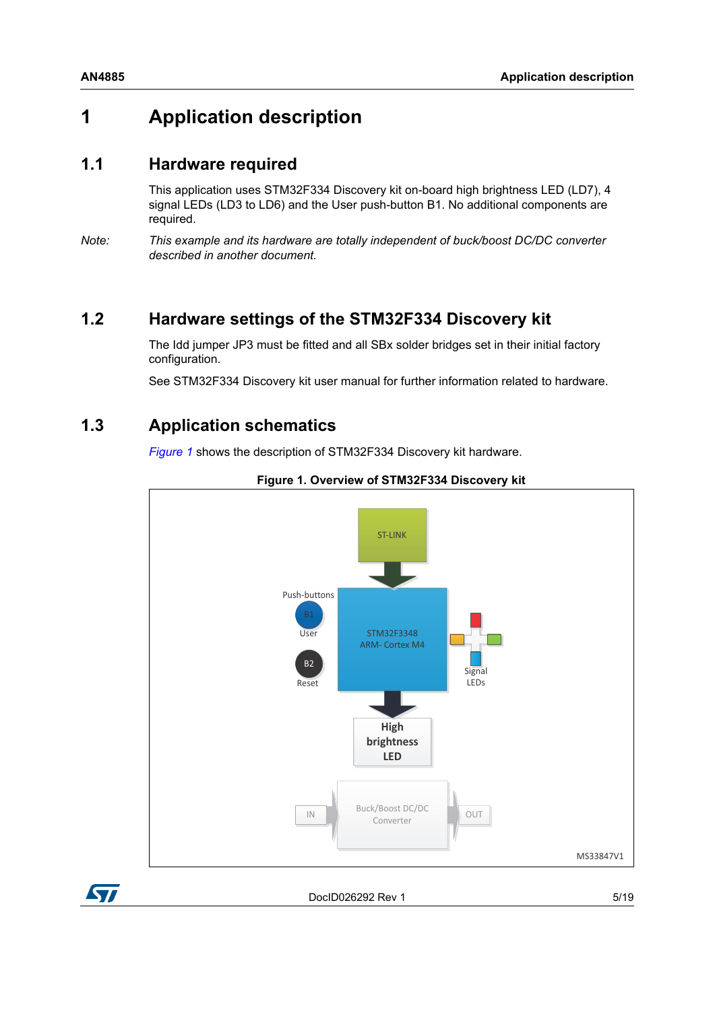## <span id="page-4-0"></span>**1 Application description**

### <span id="page-4-1"></span>**1.1 Hardware required**

This application uses STM32F334 Discovery kit on-board high brightness LED (LD7), 4 signal LEDs (LD3 to LD6) and the User push-button B1. No additional components are required.

*Note: This example and its hardware are totally independent of buck/boost DC/DC converter described in another document.*

## <span id="page-4-2"></span>**1.2 Hardware settings of the STM32F334 Discovery kit**

The Idd jumper JP3 must be fitted and all SBx solder bridges set in their initial factory configuration.

See STM32F334 Discovery kit user manual for further information related to hardware.

## <span id="page-4-3"></span>**1.3 Application schematics**

*[Figure](#page-4-4) 1* shows the description of STM32F334 Discovery kit hardware.

<span id="page-4-4"></span>





DocID026292 Rev 1 5/[19](#page-18-0)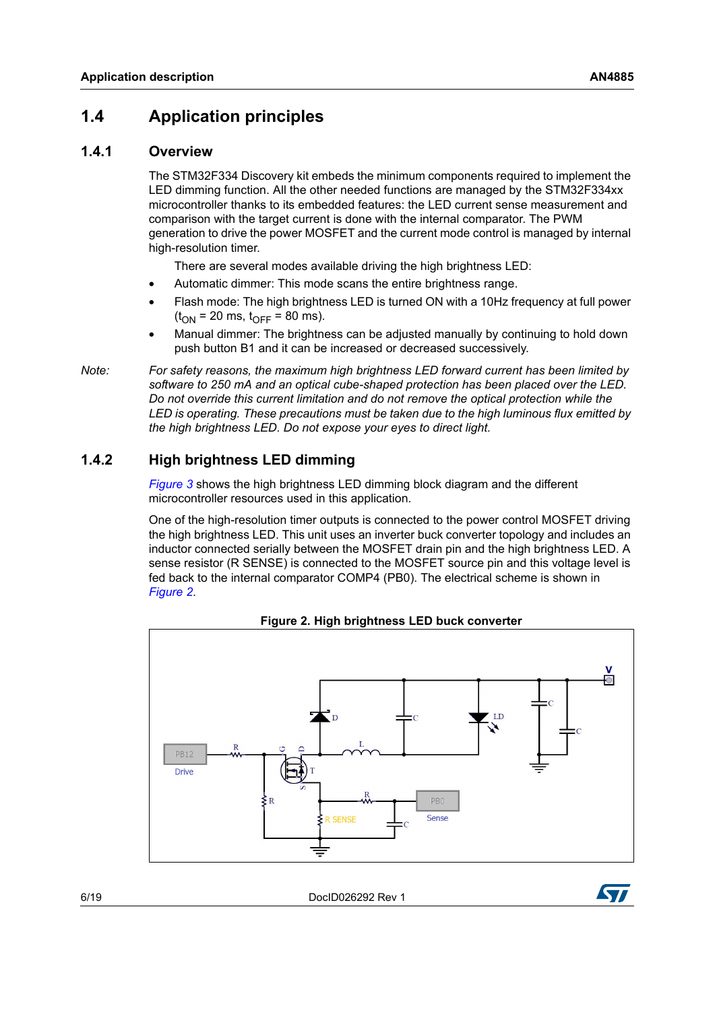## <span id="page-5-0"></span>**1.4 Application principles**

#### <span id="page-5-1"></span>**1.4.1 Overview**

The STM32F334 Discovery kit embeds the minimum components required to implement the LED dimming function. All the other needed functions are managed by the STM32F334xx microcontroller thanks to its embedded features: the LED current sense measurement and comparison with the target current is done with the internal comparator. The PWM generation to drive the power MOSFET and the current mode control is managed by internal high-resolution timer.

There are several modes available driving the high brightness LED:

- Automatic dimmer: This mode scans the entire brightness range.
- Flash mode: The high brightness LED is turned ON with a 10Hz frequency at full power  $(t_{ON} = 20 \text{ ms}, t_{OFF} = 80 \text{ ms}).$
- Manual dimmer: The brightness can be adjusted manually by continuing to hold down push button B1 and it can be increased or decreased successively.

*Note: For safety reasons, the maximum high brightness LED forward current has been limited by software to 250 mA and an optical cube-shaped protection has been placed over the LED. Do not override this current limitation and do not remove the optical protection while the LED is operating. These precautions must be taken due to the high luminous flux emitted by the high brightness LED. Do not expose your eyes to direct light.* 

#### <span id="page-5-2"></span>**1.4.2 High brightness LED dimming**

*[Figure](#page-6-0) 3* shows the high brightness LED dimming block diagram and the different microcontroller resources used in this application.

One of the high-resolution timer outputs is connected to the power control MOSFET driving the high brightness LED. This unit uses an inverter buck converter topology and includes an inductor connected serially between the MOSFET drain pin and the high brightness LED. A sense resistor (R SENSE) is connected to the MOSFET source pin and this voltage level is fed back to the internal comparator COMP4 (PB0). The electrical scheme is shown in *[Figure](#page-5-3) 2*.

<span id="page-5-3"></span>

**Figure 2. High brightness LED buck converter**

6/[19](#page-18-0) DocID026292 Rev 1

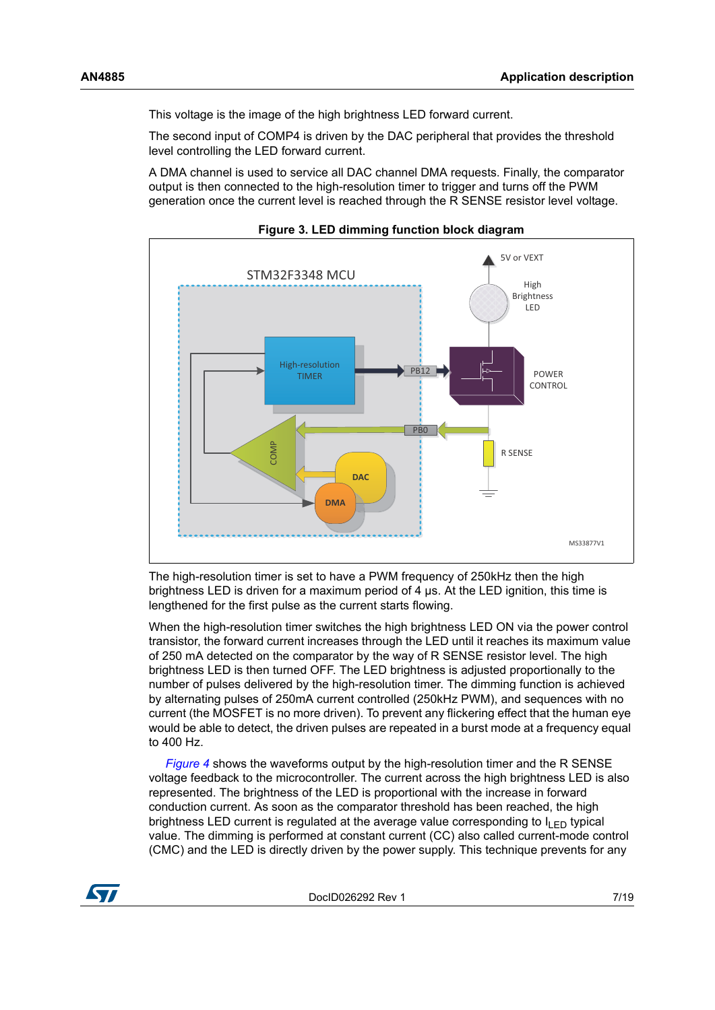This voltage is the image of the high brightness LED forward current.

The second input of COMP4 is driven by the DAC peripheral that provides the threshold level controlling the LED forward current.

A DMA channel is used to service all DAC channel DMA requests. Finally, the comparator output is then connected to the high-resolution timer to trigger and turns off the PWM generation once the current level is reached through the R SENSE resistor level voltage.

<span id="page-6-0"></span>

**Figure 3. LED dimming function block diagram**

The high-resolution timer is set to have a PWM frequency of 250kHz then the high brightness LED is driven for a maximum period of 4 µs. At the LED ignition, this time is lengthened for the first pulse as the current starts flowing.

When the high-resolution timer switches the high brightness LED ON via the power control transistor, the forward current increases through the LED until it reaches its maximum value of 250 mA detected on the comparator by the way of R SENSE resistor level. The high brightness LED is then turned OFF. The LED brightness is adjusted proportionally to the number of pulses delivered by the high-resolution timer. The dimming function is achieved by alternating pulses of 250mA current controlled (250kHz PWM), and sequences with no current (the MOSFET is no more driven). To prevent any flickering effect that the human eye would be able to detect, the driven pulses are repeated in a burst mode at a frequency equal to 400 Hz.

 *[Figure](#page-7-1) 4* shows the waveforms output by the high-resolution timer and the R SENSE voltage feedback to the microcontroller. The current across the high brightness LED is also represented. The brightness of the LED is proportional with the increase in forward conduction current. As soon as the comparator threshold has been reached, the high brightness LED current is regulated at the average value corresponding to  $I_{\text{I}}_{\text{E}}$  typical value. The dimming is performed at constant current (CC) also called current-mode control (CMC) and the LED is directly driven by the power supply. This technique prevents for any

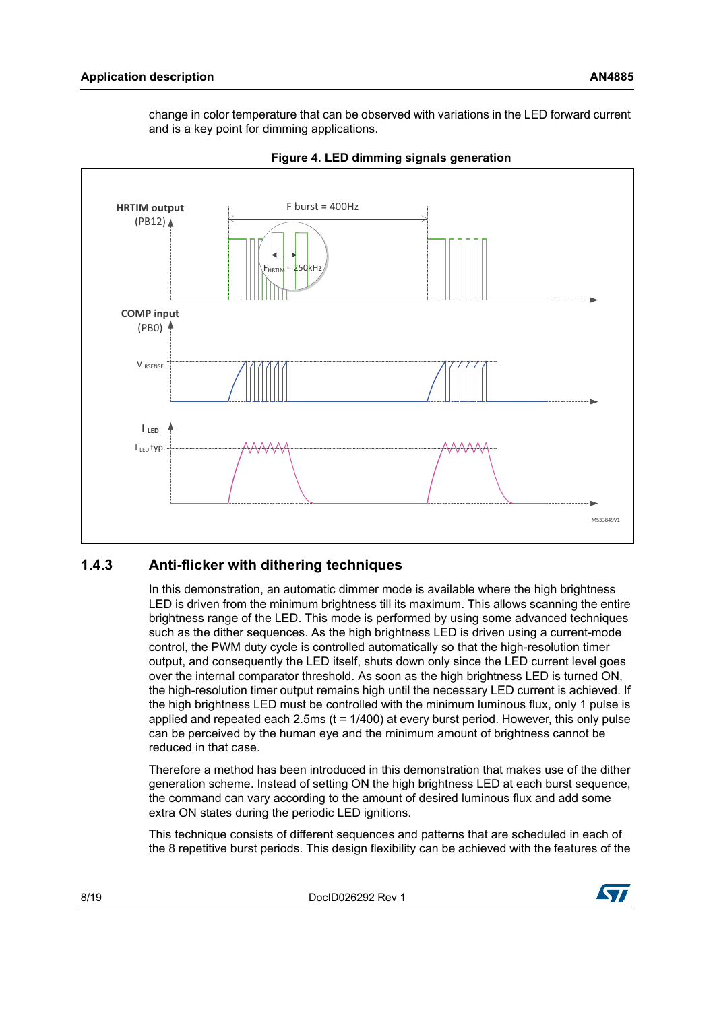<span id="page-7-1"></span>change in color temperature that can be observed with variations in the LED forward current and is a key point for dimming applications.



**Figure 4. LED dimming signals generation**

#### <span id="page-7-0"></span>**1.4.3 Anti-flicker with dithering techniques**

In this demonstration, an automatic dimmer mode is available where the high brightness LED is driven from the minimum brightness till its maximum. This allows scanning the entire brightness range of the LED. This mode is performed by using some advanced techniques such as the dither sequences. As the high brightness LED is driven using a current-mode control, the PWM duty cycle is controlled automatically so that the high-resolution timer output, and consequently the LED itself, shuts down only since the LED current level goes over the internal comparator threshold. As soon as the high brightness LED is turned ON, the high-resolution timer output remains high until the necessary LED current is achieved. If the high brightness LED must be controlled with the minimum luminous flux, only 1 pulse is applied and repeated each 2.5ms  $(t = 1/400)$  at every burst period. However, this only pulse can be perceived by the human eye and the minimum amount of brightness cannot be reduced in that case.

Therefore a method has been introduced in this demonstration that makes use of the dither generation scheme. Instead of setting ON the high brightness LED at each burst sequence, the command can vary according to the amount of desired luminous flux and add some extra ON states during the periodic LED ignitions.

This technique consists of different sequences and patterns that are scheduled in each of the 8 repetitive burst periods. This design flexibility can be achieved with the features of the

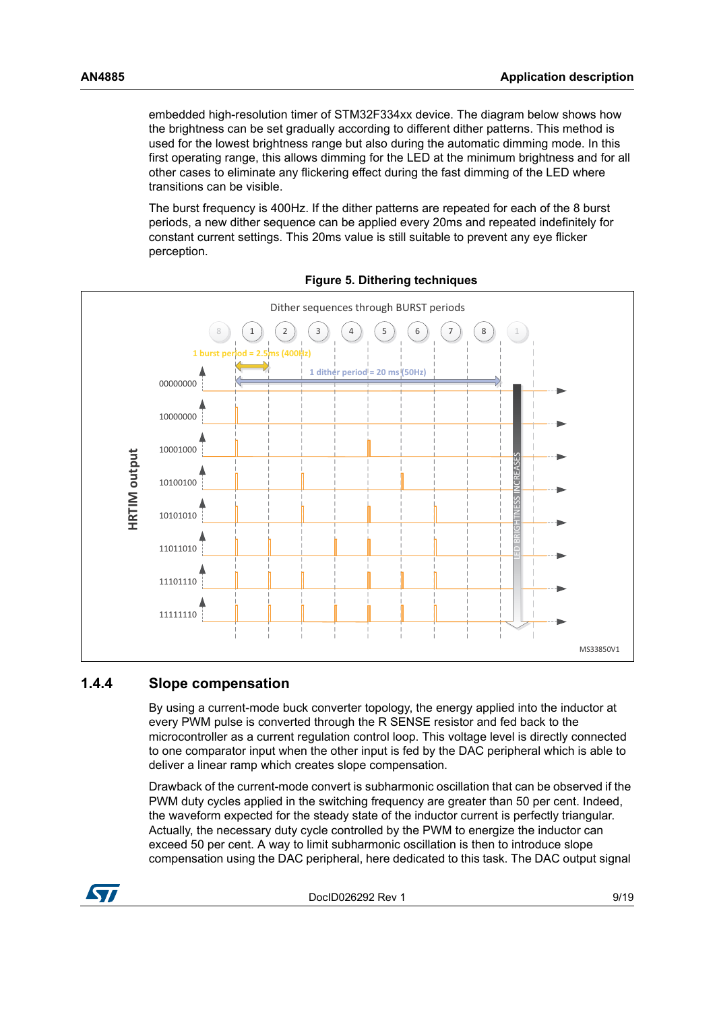embedded high-resolution timer of STM32F334xx device. The diagram below shows how the brightness can be set gradually according to different dither patterns. This method is used for the lowest brightness range but also during the automatic dimming mode. In this first operating range, this allows dimming for the LED at the minimum brightness and for all other cases to eliminate any flickering effect during the fast dimming of the LED where transitions can be visible.

<span id="page-8-1"></span>The burst frequency is 400Hz. If the dither patterns are repeated for each of the 8 burst periods, a new dither sequence can be applied every 20ms and repeated indefinitely for constant current settings. This 20ms value is still suitable to prevent any eye flicker perception.



**Figure 5. Dithering techniques**

#### <span id="page-8-0"></span>**1.4.4 Slope compensation**

By using a current-mode buck converter topology, the energy applied into the inductor at every PWM pulse is converted through the R SENSE resistor and fed back to the microcontroller as a current regulation control loop. This voltage level is directly connected to one comparator input when the other input is fed by the DAC peripheral which is able to deliver a linear ramp which creates slope compensation.

Drawback of the current-mode convert is subharmonic oscillation that can be observed if the PWM duty cycles applied in the switching frequency are greater than 50 per cent. Indeed, the waveform expected for the steady state of the inductor current is perfectly triangular. Actually, the necessary duty cycle controlled by the PWM to energize the inductor can exceed 50 per cent. A way to limit subharmonic oscillation is then to introduce slope compensation using the DAC peripheral, here dedicated to this task. The DAC output signal

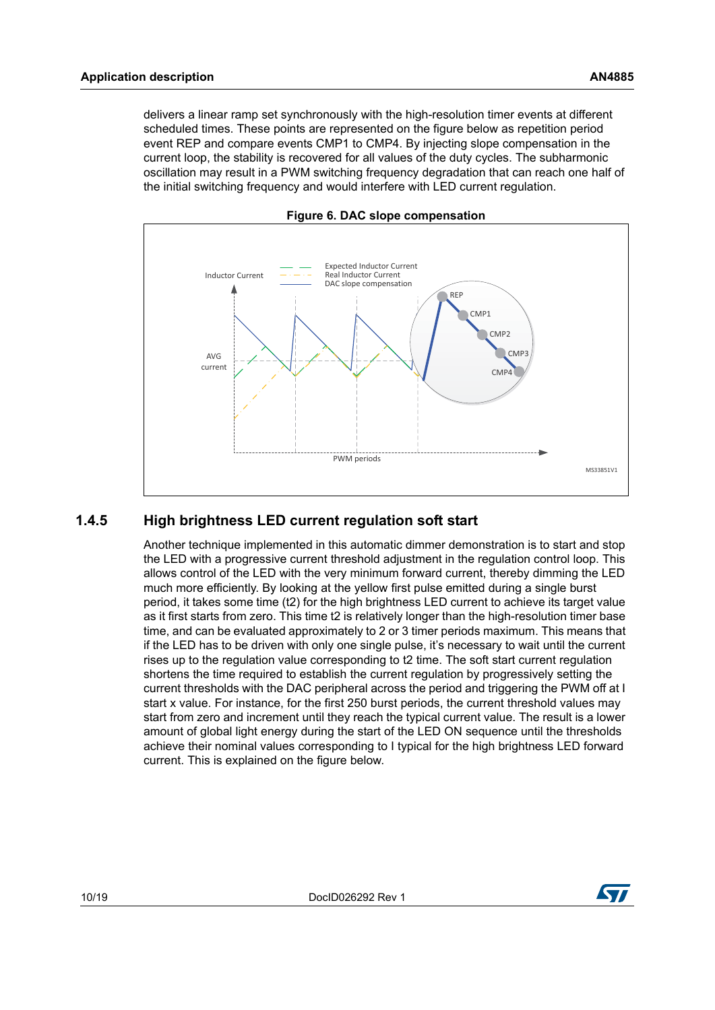delivers a linear ramp set synchronously with the high-resolution timer events at different scheduled times. These points are represented on the figure below as repetition period event REP and compare events CMP1 to CMP4. By injecting slope compensation in the current loop, the stability is recovered for all values of the duty cycles. The subharmonic oscillation may result in a PWM switching frequency degradation that can reach one half of the initial switching frequency and would interfere with LED current regulation.

<span id="page-9-1"></span>



#### <span id="page-9-0"></span>**1.4.5 High brightness LED current regulation soft start**

Another technique implemented in this automatic dimmer demonstration is to start and stop the LED with a progressive current threshold adjustment in the regulation control loop. This allows control of the LED with the very minimum forward current, thereby dimming the LED much more efficiently. By looking at the yellow first pulse emitted during a single burst period, it takes some time (t2) for the high brightness LED current to achieve its target value as it first starts from zero. This time t2 is relatively longer than the high-resolution timer base time, and can be evaluated approximately to 2 or 3 timer periods maximum. This means that if the LED has to be driven with only one single pulse, it's necessary to wait until the current rises up to the regulation value corresponding to t2 time. The soft start current regulation shortens the time required to establish the current regulation by progressively setting the current thresholds with the DAC peripheral across the period and triggering the PWM off at I start x value. For instance, for the first 250 burst periods, the current threshold values may start from zero and increment until they reach the typical current value. The result is a lower amount of global light energy during the start of the LED ON sequence until the thresholds achieve their nominal values corresponding to I typical for the high brightness LED forward current. This is explained on the figure below.

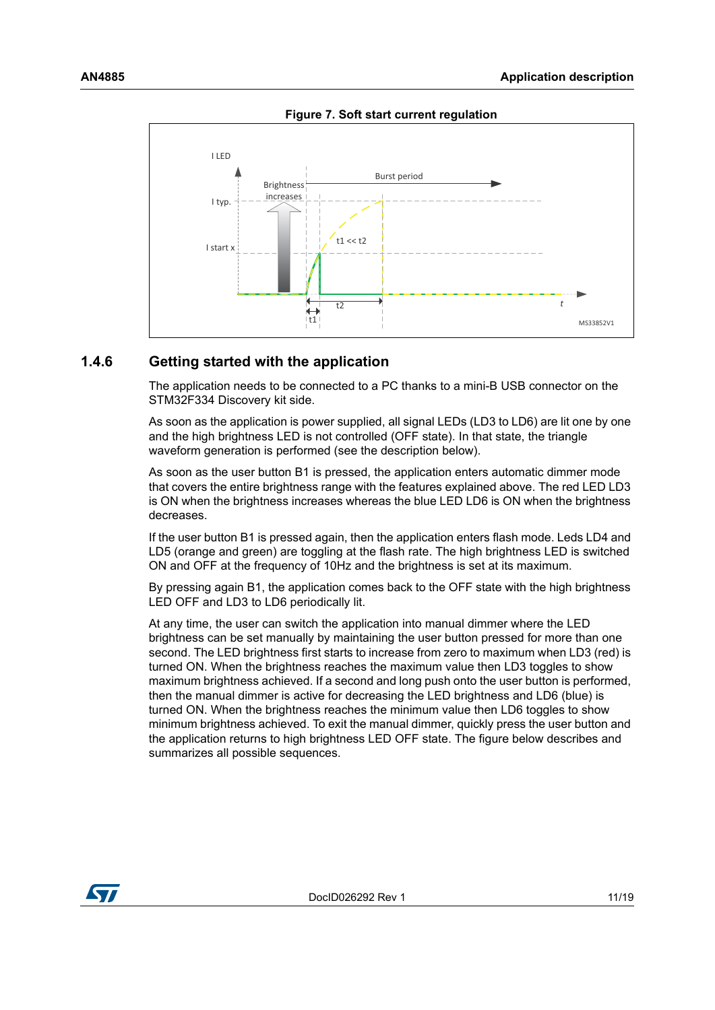<span id="page-10-1"></span>

**Figure 7. Soft start current regulation**

#### <span id="page-10-0"></span>**1.4.6 Getting started with the application**

The application needs to be connected to a PC thanks to a mini-B USB connector on the STM32F334 Discovery kit side.

As soon as the application is power supplied, all signal LEDs (LD3 to LD6) are lit one by one and the high brightness LED is not controlled (OFF state). In that state, the triangle waveform generation is performed (see the description below).

As soon as the user button B1 is pressed, the application enters automatic dimmer mode that covers the entire brightness range with the features explained above. The red LED LD3 is ON when the brightness increases whereas the blue LED LD6 is ON when the brightness decreases.

If the user button B1 is pressed again, then the application enters flash mode. Leds LD4 and LD5 (orange and green) are toggling at the flash rate. The high brightness LED is switched ON and OFF at the frequency of 10Hz and the brightness is set at its maximum.

By pressing again B1, the application comes back to the OFF state with the high brightness LED OFF and LD3 to LD6 periodically lit.

At any time, the user can switch the application into manual dimmer where the LED brightness can be set manually by maintaining the user button pressed for more than one second. The LED brightness first starts to increase from zero to maximum when LD3 (red) is turned ON. When the brightness reaches the maximum value then LD3 toggles to show maximum brightness achieved. If a second and long push onto the user button is performed, then the manual dimmer is active for decreasing the LED brightness and LD6 (blue) is turned ON. When the brightness reaches the minimum value then LD6 toggles to show minimum brightness achieved. To exit the manual dimmer, quickly press the user button and the application returns to high brightness LED OFF state. The figure below describes and summarizes all possible sequences.

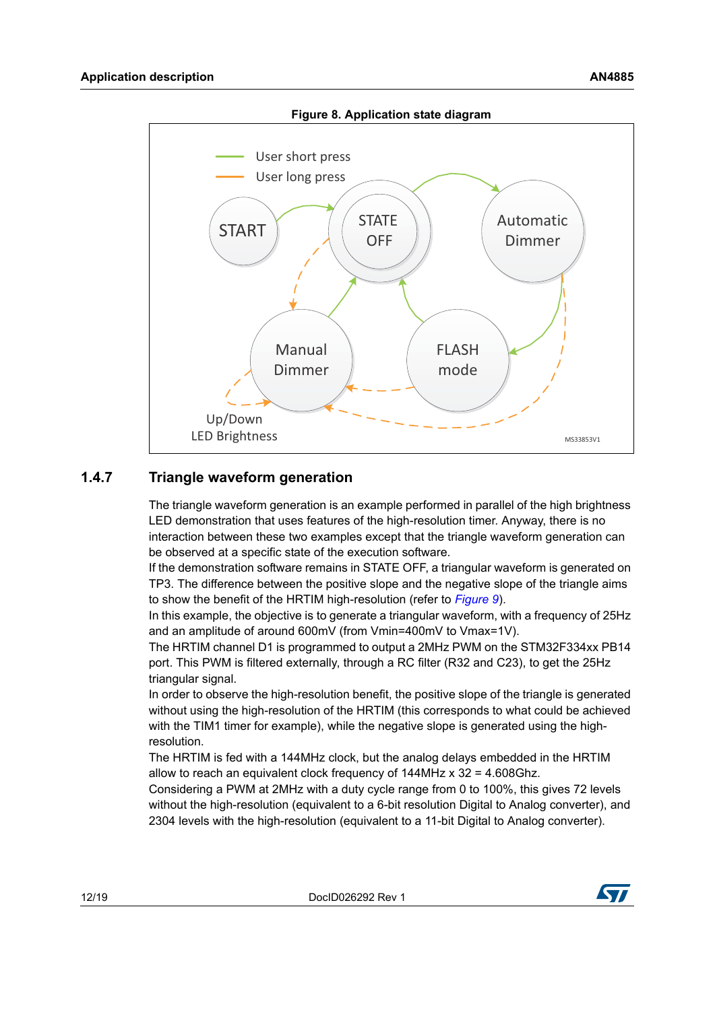<span id="page-11-1"></span>

#### <span id="page-11-0"></span>**1.4.7 Triangle waveform generation**

The triangle waveform generation is an example performed in parallel of the high brightness LED demonstration that uses features of the high-resolution timer. Anyway, there is no interaction between these two examples except that the triangle waveform generation can be observed at a specific state of the execution software.

If the demonstration software remains in STATE OFF, a triangular waveform is generated on TP3. The difference between the positive slope and the negative slope of the triangle aims to show the benefit of the HRTIM high-resolution (refer to *[Figure](#page-12-0) 9*).

In this example, the objective is to generate a triangular waveform, with a frequency of 25Hz and an amplitude of around 600mV (from Vmin=400mV to Vmax=1V).

The HRTIM channel D1 is programmed to output a 2MHz PWM on the STM32F334xx PB14 port. This PWM is filtered externally, through a RC filter (R32 and C23), to get the 25Hz triangular signal.

In order to observe the high-resolution benefit, the positive slope of the triangle is generated without using the high-resolution of the HRTIM (this corresponds to what could be achieved with the TIM1 timer for example), while the negative slope is generated using the highresolution.

The HRTIM is fed with a 144MHz clock, but the analog delays embedded in the HRTIM allow to reach an equivalent clock frequency of  $144$ MHz  $\times$  32 = 4.608Ghz.

Considering a PWM at 2MHz with a duty cycle range from 0 to 100%, this gives 72 levels without the high-resolution (equivalent to a 6-bit resolution Digital to Analog converter), and 2304 levels with the high-resolution (equivalent to a 11-bit Digital to Analog converter).

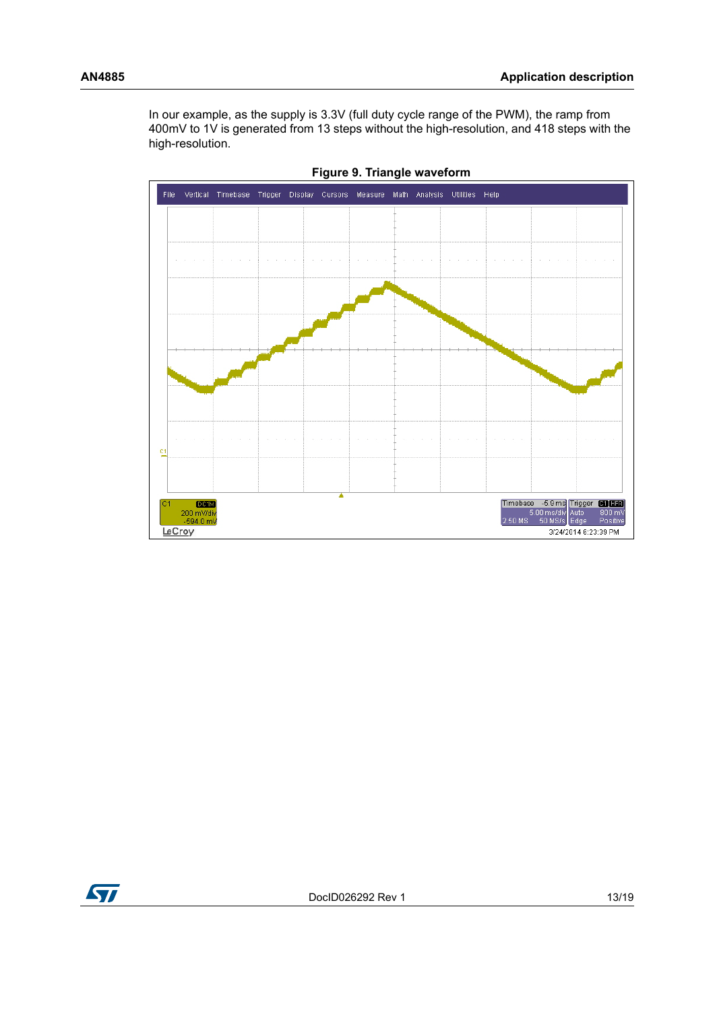In our example, as the supply is 3.3V (full duty cycle range of the PWM), the ramp from 400mV to 1V is generated from 13 steps without the high-resolution, and 418 steps with the high-resolution.

<span id="page-12-0"></span>

**Figure 9. Triangle waveform**

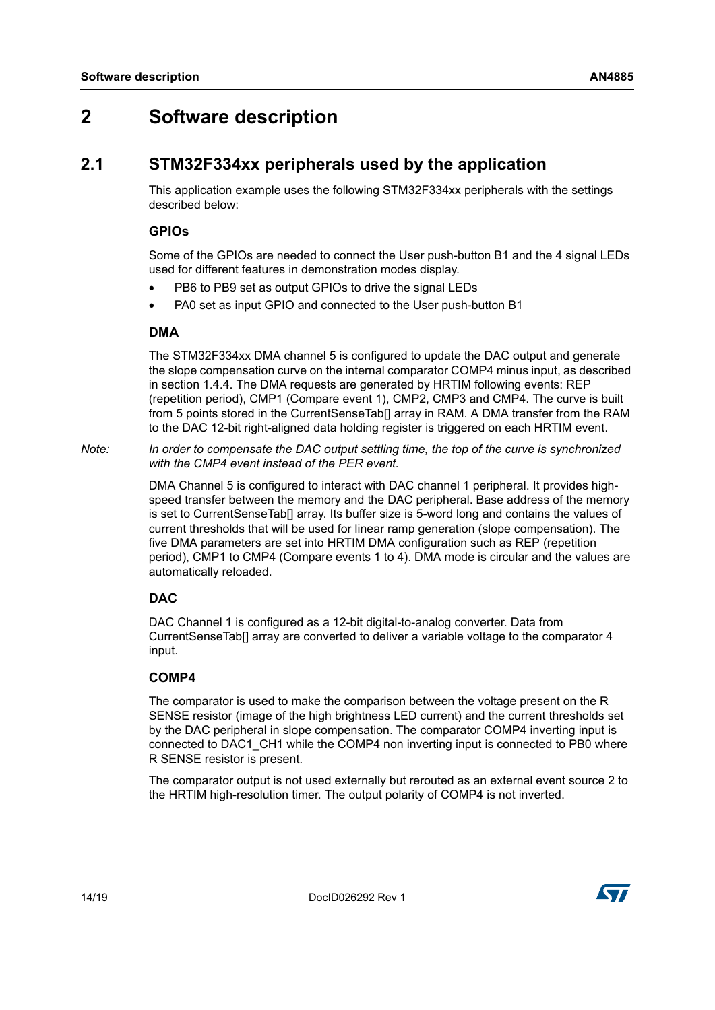## <span id="page-13-0"></span>**2 Software description**

### <span id="page-13-1"></span>**2.1 STM32F334xx peripherals used by the application**

This application example uses the following STM32F334xx peripherals with the settings described below:

#### **GPIOs**

Some of the GPIOs are needed to connect the User push-button B1 and the 4 signal LEDs used for different features in demonstration modes display.

- PB6 to PB9 set as output GPIOs to drive the signal LEDs
- PA0 set as input GPIO and connected to the User push-button B1

#### **DMA**

The STM32F334xx DMA channel 5 is configured to update the DAC output and generate the slope compensation curve on the internal comparator COMP4 minus input, as described in section 1.4.4. The DMA requests are generated by HRTIM following events: REP (repetition period), CMP1 (Compare event 1), CMP2, CMP3 and CMP4. The curve is built from 5 points stored in the CurrentSenseTab[] array in RAM. A DMA transfer from the RAM to the DAC 12-bit right-aligned data holding register is triggered on each HRTIM event.

*Note: In order to compensate the DAC output settling time, the top of the curve is synchronized with the CMP4 event instead of the PER event.*

> DMA Channel 5 is configured to interact with DAC channel 1 peripheral. It provides highspeed transfer between the memory and the DAC peripheral. Base address of the memory is set to CurrentSenseTab[] array. Its buffer size is 5-word long and contains the values of current thresholds that will be used for linear ramp generation (slope compensation). The five DMA parameters are set into HRTIM DMA configuration such as REP (repetition period), CMP1 to CMP4 (Compare events 1 to 4). DMA mode is circular and the values are automatically reloaded.

#### **DAC**

DAC Channel 1 is configured as a 12-bit digital-to-analog converter. Data from CurrentSenseTab[] array are converted to deliver a variable voltage to the comparator 4 input.

#### **COMP4**

The comparator is used to make the comparison between the voltage present on the R SENSE resistor (image of the high brightness LED current) and the current thresholds set by the DAC peripheral in slope compensation. The comparator COMP4 inverting input is connected to DAC1\_CH1 while the COMP4 non inverting input is connected to PB0 where R SENSE resistor is present.

The comparator output is not used externally but rerouted as an external event source 2 to the HRTIM high-resolution timer. The output polarity of COMP4 is not inverted.

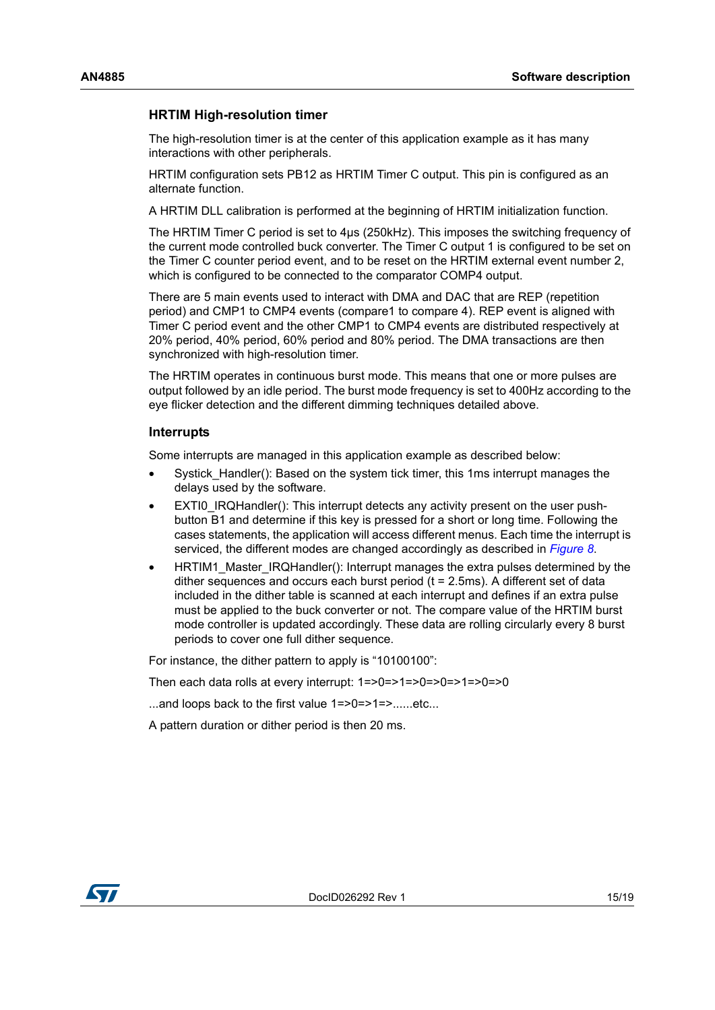#### **HRTIM High-resolution timer**

The high-resolution timer is at the center of this application example as it has many interactions with other peripherals.

HRTIM configuration sets PB12 as HRTIM Timer C output. This pin is configured as an alternate function.

A HRTIM DLL calibration is performed at the beginning of HRTIM initialization function.

The HRTIM Timer C period is set to 4µs (250kHz). This imposes the switching frequency of the current mode controlled buck converter. The Timer C output 1 is configured to be set on the Timer C counter period event, and to be reset on the HRTIM external event number 2, which is configured to be connected to the comparator COMP4 output.

There are 5 main events used to interact with DMA and DAC that are REP (repetition period) and CMP1 to CMP4 events (compare1 to compare 4). REP event is aligned with Timer C period event and the other CMP1 to CMP4 events are distributed respectively at 20% period, 40% period, 60% period and 80% period. The DMA transactions are then synchronized with high-resolution timer.

The HRTIM operates in continuous burst mode. This means that one or more pulses are output followed by an idle period. The burst mode frequency is set to 400Hz according to the eye flicker detection and the different dimming techniques detailed above.

#### **Interrupts**

Some interrupts are managed in this application example as described below:

- Systick Handler(): Based on the system tick timer, this 1ms interrupt manages the delays used by the software.
- EXTI0\_IRQHandler(): This interrupt detects any activity present on the user pushbutton B1 and determine if this key is pressed for a short or long time. Following the cases statements, the application will access different menus. Each time the interrupt is serviced, the different modes are changed accordingly as described in *[Figure 8](#page-11-1)*.
- HRTIM1\_Master\_IRQHandler(): Interrupt manages the extra pulses determined by the dither sequences and occurs each burst period  $(t = 2.5 \text{ms})$ . A different set of data included in the dither table is scanned at each interrupt and defines if an extra pulse must be applied to the buck converter or not. The compare value of the HRTIM burst mode controller is updated accordingly. These data are rolling circularly every 8 burst periods to cover one full dither sequence.

For instance, the dither pattern to apply is "10100100":

Then each data rolls at every interrupt: 1=>0=>1=>0=>0=>1=>0=>0

...and loops back to the first value 1=>0=>1=>......etc...

A pattern duration or dither period is then 20 ms.

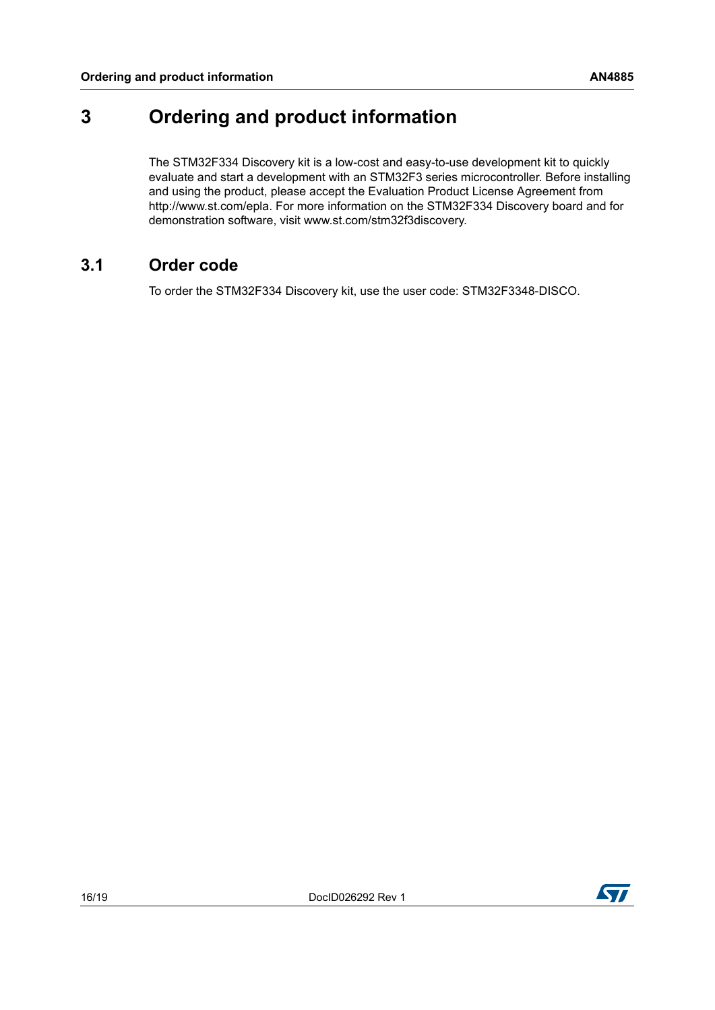## <span id="page-15-0"></span>**3 Ordering and product information**

The STM32F334 Discovery kit is a low-cost and easy-to-use development kit to quickly evaluate and start a development with an STM32F3 series microcontroller. Before installing and using the product, please accept the Evaluation Product License Agreement from http://www.st.com/epla. For more information on the STM32F334 Discovery board and for demonstration software, visit www.st.com/stm32f3discovery.

### <span id="page-15-1"></span>**3.1 Order code**

To order the STM32F334 Discovery kit, use the user code: STM32F3348-DISCO.

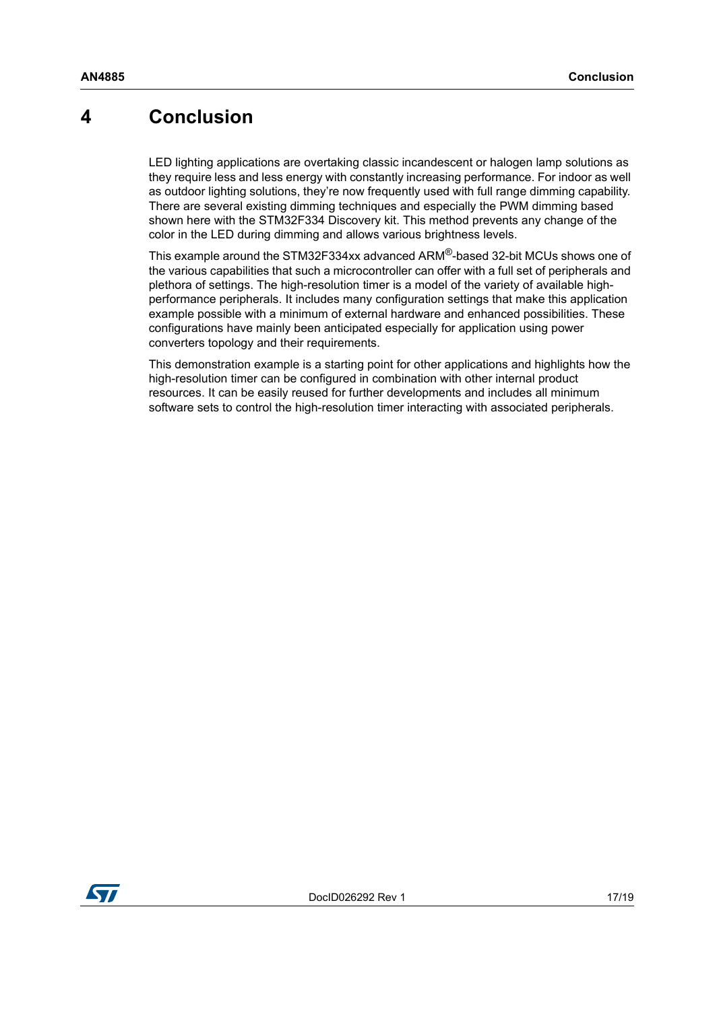## <span id="page-16-0"></span>**4 Conclusion**

LED lighting applications are overtaking classic incandescent or halogen lamp solutions as they require less and less energy with constantly increasing performance. For indoor as well as outdoor lighting solutions, they're now frequently used with full range dimming capability. There are several existing dimming techniques and especially the PWM dimming based shown here with the STM32F334 Discovery kit. This method prevents any change of the color in the LED during dimming and allows various brightness levels.

This example around the STM32F334xx advanced ARM®-based 32-bit MCUs shows one of the various capabilities that such a microcontroller can offer with a full set of peripherals and plethora of settings. The high-resolution timer is a model of the variety of available highperformance peripherals. It includes many configuration settings that make this application example possible with a minimum of external hardware and enhanced possibilities. These configurations have mainly been anticipated especially for application using power converters topology and their requirements.

This demonstration example is a starting point for other applications and highlights how the high-resolution timer can be configured in combination with other internal product resources. It can be easily reused for further developments and includes all minimum software sets to control the high-resolution timer interacting with associated peripherals.

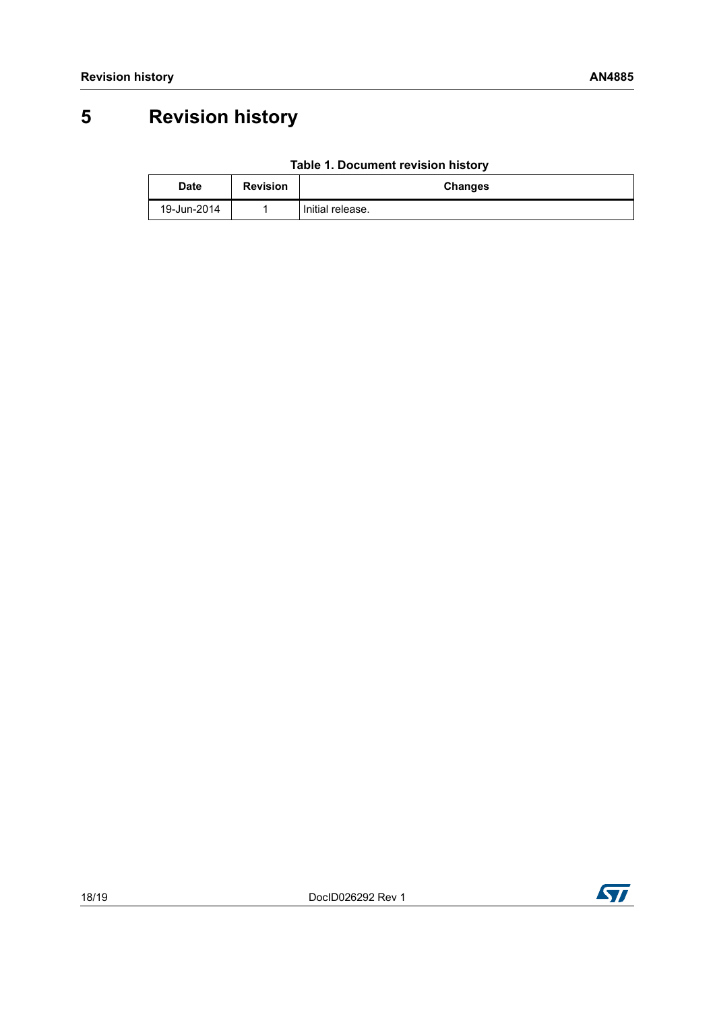## <span id="page-17-0"></span>**5 Revision history**

<span id="page-17-1"></span>

| <b>Date</b> | <b>Revision</b> | <b>Changes</b>   |
|-------------|-----------------|------------------|
| 19-Jun-2014 |                 | Initial release. |